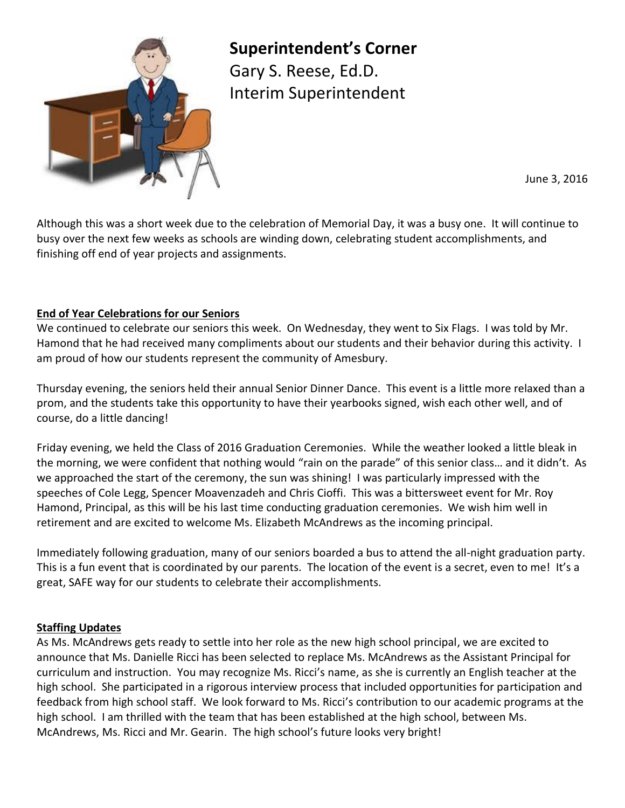

**Superintendent's Corner**

Gary S. Reese, Ed.D. Interim Superintendent

June 3, 2016

Although this was a short week due to the celebration of Memorial Day, it was a busy one. It will continue to busy over the next few weeks as schools are winding down, celebrating student accomplishments, and finishing off end of year projects and assignments.

# **End of Year Celebrations for our Seniors**

We continued to celebrate our seniors this week. On Wednesday, they went to Six Flags. I was told by Mr. Hamond that he had received many compliments about our students and their behavior during this activity. I am proud of how our students represent the community of Amesbury.

Thursday evening, the seniors held their annual Senior Dinner Dance. This event is a little more relaxed than a prom, and the students take this opportunity to have their yearbooks signed, wish each other well, and of course, do a little dancing!

Friday evening, we held the Class of 2016 Graduation Ceremonies. While the weather looked a little bleak in the morning, we were confident that nothing would "rain on the parade" of this senior class… and it didn't. As we approached the start of the ceremony, the sun was shining! I was particularly impressed with the speeches of Cole Legg, Spencer Moavenzadeh and Chris Cioffi. This was a bittersweet event for Mr. Roy Hamond, Principal, as this will be his last time conducting graduation ceremonies. We wish him well in retirement and are excited to welcome Ms. Elizabeth McAndrews as the incoming principal.

Immediately following graduation, many of our seniors boarded a bus to attend the all-night graduation party. This is a fun event that is coordinated by our parents. The location of the event is a secret, even to me! It's a great, SAFE way for our students to celebrate their accomplishments.

# **Staffing Updates**

As Ms. McAndrews gets ready to settle into her role as the new high school principal, we are excited to announce that Ms. Danielle Ricci has been selected to replace Ms. McAndrews as the Assistant Principal for curriculum and instruction. You may recognize Ms. Ricci's name, as she is currently an English teacher at the high school. She participated in a rigorous interview process that included opportunities for participation and feedback from high school staff. We look forward to Ms. Ricci's contribution to our academic programs at the high school. I am thrilled with the team that has been established at the high school, between Ms. McAndrews, Ms. Ricci and Mr. Gearin. The high school's future looks very bright!